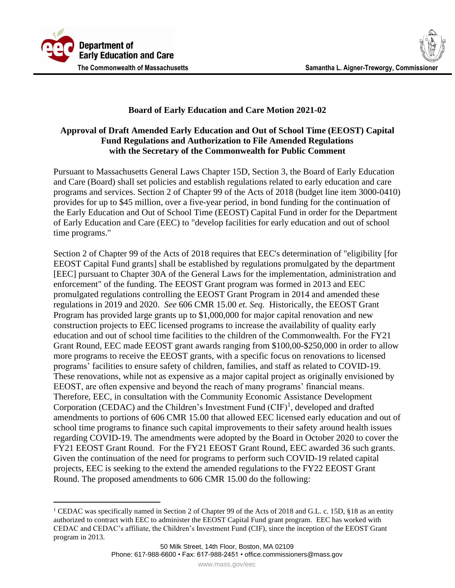

## **Board of Early Education and Care Motion 2021-02**

## **Approval of Draft Amended Early Education and Out of School Time (EEOST) Capital Fund Regulations and Authorization to File Amended Regulations with the Secretary of the Commonwealth for Public Comment**

Pursuant to Massachusetts General Laws Chapter 15D, Section 3, the Board of Early Education and Care (Board) shall set policies and establish regulations related to early education and care programs and services. Section 2 of Chapter 99 of the Acts of 2018 (budget line item 3000-0410) provides for up to \$45 million, over a five-year period, in bond funding for the continuation of the Early Education and Out of School Time (EEOST) Capital Fund in order for the Department of Early Education and Care (EEC) to "develop facilities for early education and out of school time programs."

Section 2 of Chapter 99 of the Acts of 2018 requires that EEC's determination of "eligibility [for EEOST Capital Fund grants] shall be established by regulations promulgated by the department [EEC] pursuant to Chapter 30A of the General Laws for the implementation, administration and enforcement" of the funding. The EEOST Grant program was formed in 2013 and EEC promulgated regulations controlling the EEOST Grant Program in 2014 and amended these regulations in 2019 and 2020. *See* 606 CMR 15.00 *et. Seq.* Historically, the EEOST Grant Program has provided large grants up to \$1,000,000 for major capital renovation and new construction projects to EEC licensed programs to increase the availability of quality early education and out of school time facilities to the children of the Commonwealth. For the FY21 Grant Round, EEC made EEOST grant awards ranging from \$100,00-\$250,000 in order to allow more programs to receive the EEOST grants, with a specific focus on renovations to licensed programs' facilities to ensure safety of children, families, and staff as related to COVID-19. These renovations, while not as expensive as a major capital project as originally envisioned by EEOST, are often expensive and beyond the reach of many programs' financial means. Therefore, EEC, in consultation with the Community Economic Assistance Development Corporation (CEDAC) and the Children's Investment Fund  $(CIF)^1$ , developed and drafted amendments to portions of 606 CMR 15.00 that allowed EEC licensed early education and out of school time programs to finance such capital improvements to their safety around health issues regarding COVID-19. The amendments were adopted by the Board in October 2020 to cover the FY21 EEOST Grant Round. For the FY21 EEOST Grant Round, EEC awarded 36 such grants. Given the continuation of the need for programs to perform such COVID-19 related capital projects, EEC is seeking to the extend the amended regulations to the FY22 EEOST Grant Round. The proposed amendments to 606 CMR 15.00 do the following:

<sup>&</sup>lt;sup>1</sup> CEDAC was specifically named in Section 2 of Chapter 99 of the Acts of 2018 and G.L. c. 15D, §18 as an entity authorized to contract with EEC to administer the EEOST Capital Fund grant program. EEC has worked with CEDAC and CEDAC's affiliate, the Children's Investment Fund (CIF), since the inception of the EEOST Grant program in 2013.